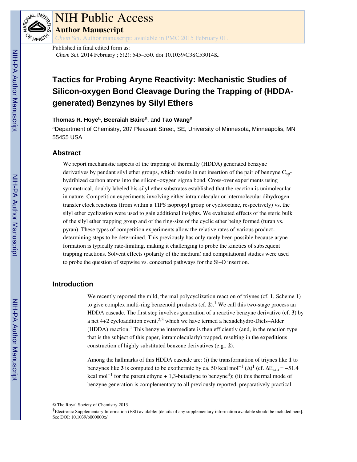

# NIH Public Access

**Author Manuscript**

*Chem Sci*. Author manuscript; available in PMC 2015 February 01.

Published in final edited form as: *Chem Sci*. 2014 February ; 5(2): 545–550. doi:10.1039/C3SC53014K.

# **Tactics for Probing Aryne Reactivity: Mechanistic Studies of Silicon-oxygen Bond Cleavage During the Trapping of (HDDAgenerated) Benzynes by Silyl Ethers**

#### **Thomas R. Hoye**a, **Beeraiah Baire**a, and **Tao Wang**<sup>a</sup>

<sup>a</sup>Department of Chemistry, 207 Pleasant Street, SE, University of Minnesota, Minneapolis, MN 55455 USA

# **Abstract**

We report mechanistic aspects of the trapping of thermally (HDDA) generated benzyne derivatives by pendant silyl ether groups, which results in net insertion of the pair of benzyne  $C_{\text{spr}}$ hydribized carbon atoms into the silicon–oxygen sigma bond. Cross-over experiments using symmetrical, doubly labeled bis-silyl ether substrates established that the reaction is unimolecular in nature. Competition experiments involving either intramolecular or intermolecular dihydrogen transfer clock reactions (from within a TIPS isopropyl group or cyclooctane, respectively) vs. the silyl ether cyclization were used to gain additional insights. We evaluated effects of the steric bulk of the silyl ether trapping group and of the ring-size of the cyclic ether being formed (furan vs. pyran). These types of competition experiments allow the relative rates of various productdetermining steps to be determined. This previously has only rarely been possible because aryne formation is typically rate-limiting, making it challenging to probe the kinetics of subsequent trapping reactions. Solvent effects (polarity of the medium) and computational studies were used to probe the question of stepwise vs. concerted pathways for the Si–O insertion.

# **Introduction**

We recently reported the mild, thermal polycyclization reaction of triynes (cf. **1**, Scheme 1) to give complex multi-ring benzenoid products (cf. 2).<sup>1</sup> We call this two-stage process an HDDA cascade. The first step involves generation of a reactive benzyne derivative (cf. **3**) by a net  $4+2$  cycloaddition event,<sup>2,3</sup> which we have termed a hexadehydro-Diels–Alder  $(HDDA)$  reaction.<sup>1</sup> This benzyne intermediate is then efficiently (and, in the reaction type that is the subject of this paper, intramolecularly) trapped, resulting in the expeditious construction of highly substituted benzene derivatives (e.g., **2**).

Among the hallmarks of this HDDA cascade are: (i) the transformation of triynes like **1** to benzynes like **3** is computed to be exothermic by ca. 50 kcal mol<sup>-1</sup> ( $\Delta$ )<sup>1</sup> (cf.  $\Delta E_{rxn} = -51.4$ kcal mol<sup>-1</sup> for the parent ethyne + 1,3-butadiyne to benzyne<sup>4</sup>); (ii) this thermal mode of benzyne generation is complementary to all previously reported, preparatively practical

<sup>©</sup> The Royal Society of Chemistry 2013

<sup>†</sup>Electronic Supplementary Information (ESI) available: [details of any supplementary information available should be included here]. See DOI: 10.1039/b000000x/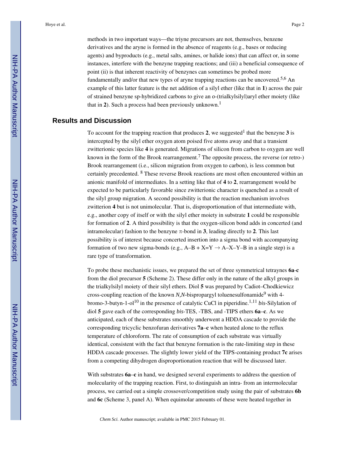methods in two important ways—the triyne precursors are not, themselves, benzene derivatives and the aryne is formed in the absence of reagents (e.g., bases or reducing agents) and byproducts (e.g., metal salts, amines, or halide ions) that can affect or, in some instances, interfere with the benzyne trapping reactions; and (iii) a beneficial consequence of point (ii) is that inherent reactivity of benzynes can sometimes be probed more fundamentally and/or that new types of aryne trapping reactions can be uncovered.<sup>5,6</sup> An example of this latter feature is the net addition of a silyl ether (like that in **1**) across the pair of strained benzyne sp-hybridized carbons to give an *o*-(trialkylsilyl)aryl ether moiety (like that in 2). Such a process had been previously unknown.<sup>1</sup>

### **Results and Discussion**

To account for the trapping reaction that produces  $2$ , we suggested<sup>1</sup> that the benzyne  $3$  is intercepted by the silyl ether oxygen atom poised five atoms away and that a transient zwitterionic species like **4** is generated. Migrations of silicon from carbon to oxygen are well known in the form of the Brook rearrangement.<sup>7</sup> The opposite process, the reverse (or retro-) Brook rearrangement (i.e., silicon migration from oxygen to carbon), is less common but certainly precedented. <sup>8</sup> These reverse Brook reactions are most often encountered within an anionic manifold of intermediates. In a setting like that of **4** to **2**, rearrangement would be expected to be particularly favorable since zwitterionic character is quenched as a result of the silyl group migration. A second possibility is that the reaction mechanism involves zwitterion **4** but is not unimolecular. That is, disproportionation of that intermediate with, e.g., another copy of itself or with the silyl ether moiety in substrate **1** could be responsible for formation of **2**. A third possibility is that the oxygen-silicon bond adds in concerted (and intramolecular) fashion to the benzyne  $\pi$ -bond in **3**, leading directly to **2**. This last possibility is of interest because concerted insertion into a sigma bond with accompanying formation of two new sigma-bonds (e.g.,  $A-B+X=Y \rightarrow A-X-Y-B$  in a single step) is a rare type of transformation.

To probe these mechanistic issues, we prepared the set of three symmetrical tetraynes **6a**-**c**  from the diol precursor **5** (Scheme 2). These differ only in the nature of the alkyl groups in the trialkylsilyl moiety of their silyl ethers. Diol **5** was prepared by Cadiot–Chodkiewicz cross-coupling reaction of the known *N,N*-bispropargyl toluenesulfonamide<sup>9</sup> with 4bromo-3-butyn-1-ol<sup>10</sup> in the presence of catalytic CuCl in piperidine.<sup>1,11</sup> *bis*-Silylation of diol **5** gave each of the corresponding *bis*-TES, -TBS, and -TIPS ethers **6a**–**c**. As we anticipated, each of these substrates smoothly underwent a HDDA cascade to provide the corresponding tricyclic benzofuran derivatives **7a**–**c** when heated alone to the reflux temperature of chloroform. The rate of consumption of each substrate was virtually identical, consistent with the fact that benzyne formation is the rate-limiting step in these HDDA cascade processes. The slightly lower yield of the TIPS-containing product **7c** arises from a competing dihydrogen disproportionation reaction that will be discussed later.

With substrates  $6a-c$  in hand, we designed several experiments to address the question of molecularity of the trapping reaction. First, to distinguish an intra- from an intermolecular process, we carried out a simple crossover/competition study using the pair of substrates **6b**  and **6c** (Scheme 3, panel A). When equimolar amounts of these were heated together in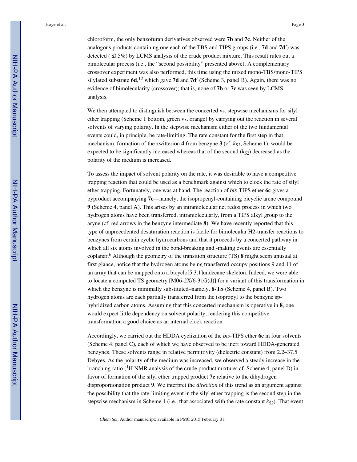chloroform, the only benzofuran derivatives observed were **7b** and **7c**. Neither of the analogous products containing one each of the TBS and TIPS groups (i.e., **7d** and **7d**′) was detected  $(9.5\%)$  by LCMS analysis of the crude product mixture. This result rules out a bimolecular process (i.e., the "second possibility" presented above). A complementary crossover experiment was also performed, this time using the mixed mono-TBS/mono-TIPS silylated substrate **6d**, <sup>12</sup> which gave **7d** and **7d**′ (Scheme 3, panel B). Again, there was no evidence of bimolecularity (crossover); that is, none of **7b** or **7c** was seen by LCMS analysis.

We then attempted to distinguish between the concerted vs. stepwise mechanisms for silyl ether trapping (Scheme 1 bottom, green vs. orange) by carrying out the reaction in several solvents of varying polarity. In the stepwise mechanism either of the two fundamental events could, in principle, be rate-limiting. The rate constant for the first step in that mechanism, formation of the zwitterion 4 from benzyne 3 (cf.  $k_{SI}$ , Scheme 1), would be expected to be significantly increased whereas that of the second  $(k_{S2})$  decreased as the polarity of the medium is increased.

To assess the impact of solvent polarity on the rate, it was desirable to have a competitive trapping reaction that could be used as a benchmark against which to clock the rate of silyl ether trapping. Fortunately, one was at hand. The reaction of *bis*-TIPS ether **6c** gives a byproduct accompanying **7c**—namely, the isopropenyl-containing bicyclic arene compound **9** (Scheme 4, panel A). This arises by an intramolecular net redox process in which two hydrogen atoms have been transferred, intramolecularly, from a TIPS alkyl group to the aryne (cf. red arrows in the benzyne intermediate **8**). We have recently reported that this type of unprecedented desaturation reaction is facile for bimolecular H2-transfer reactions to benzynes from certain cyclic hydrocarbons and that it proceeds by a concerted pathway in which all six atoms involved in the bond-breaking and -making events are essentially coplanar.<sup>6</sup> Although the geometry of the transition structure (TS) **8** might seem unusual at first glance, notice that the hydrogen atoms being transferred occupy positions 9 and 11 of an array that can be mapped onto a bicyclo[5.3.1]undecane skeleton. Indeed, we were able to locate a computed TS geometry  $[M06-2X/6-31G(d)]$  for a variant of this transformation in which the benzyne is minimally substituted–namely, **8-TS** (Scheme 4, panel B). Two hydrogen atoms are each partially transferred from the isopropyl to the benzyne sphybridized carbon atoms. Assuming that this concerted mechanism is operative in **8**, one would expect little dependency on solvent polarity, rendering this competitive transformation a good choice as an internal clock reaction.

Accordingly, we carried out the HDDA cyclization of the *bis*-TIPS ether **6c** in four solvents (Scheme 4, panel C), each of which we have observed to be inert toward HDDA-generated benzynes. These solvents range in relative permittivity (dielectric constant) from 2.2–37.5 Debyes. As the polarity of the medium was increased, we observed a steady increase in the branching ratio ( ${}^{1}$ H NMR analysis of the crude product mixture; cf. Scheme 4, panel D) in favor of formation of the silyl ether trapped product **7c** relative to the dihydrogen disproportionation product **9**. We interpret the *direction* of this trend as an argument against the possibility that the rate-limiting event in the silyl ether trapping is the second step in the stepwise mechanism in Scheme 1 (i.e., that associated with the rate constant *kS2*). That event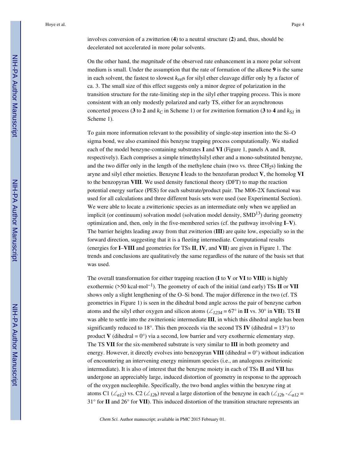involves conversion of a zwitterion (**4**) to a neutral structure (**2**) and, thus, should be decelerated not accelerated in more polar solvents.

On the other hand, the *magnitude* of the observed rate enhancement in a more polar solvent medium is small. Under the assumption that the rate of formation of the alkene **9** is the same in each solvent, the fastest to slowest *krel*s for silyl ether cleavage differ only by a factor of ca. 3. The small size of this effect suggests only a minor degree of polarization in the transition structure for the rate-limiting step in the silyl ether trapping process. This is more consistent with an only modestly polarized and early TS, either for an asynchronous concerted process (**3** to **2** and  $k<sub>C</sub>$  in Scheme 1) or for zwitterion formation (**3** to **4** and  $k<sub>S1</sub>$  in Scheme 1).

To gain more information relevant to the possibility of single-step insertion into the Si–O sigma bond, we also examined this benzyne trapping process computationally. We studied each of the model benzyne-containing substrates **I** and **VI** (Figure 1, panels A and B, respectively). Each comprises a simple trimethylsilyl ether and a mono-substituted benzyne, and the two differ only in the length of the methylene chain (two vs. three  $CH<sub>2</sub>$ s) linking the aryne and silyl ether moieties. Benzyne **I** leads to the benzofuran product **V**, the homolog **VI**  to the benzopyran **VIII**. We used density functional theory (DFT) to map the reaction potential energy surface (PES) for each substrate/product pair. The M06-2X functional was used for all calculations and three different basis sets were used (see Experimental Section). We were able to locate a zwitterionic species as an intermediate only when we applied an implicit (or continuum) solvation model (solvation model density,  $SMD<sup>13</sup>$ ) during geometry optimization and, then, only in the five-membered series (cf. the pathway involving **I**–**V**). The barrier heights leading away from that zwitterion (**III**) are quite low, especially so in the forward direction, suggesting that it is a fleeting intermediate. Computational results (energies for **I**–**VIII** and geometries for TSs **II**, **IV**, and **VII**) are given in Figure 1. The trends and conclusions are qualitatively the same regardless of the nature of the basis set that was used.

The overall transformation for either trapping reaction (**I** to **V** or **VI** to **VIII**) is highly exothermic (>50 kcal·mol−1). The geometry of each of the initial (and early) TSs **II** or **VII**  shows only a slight lengthening of the O–Si bond. The major difference in the two (cf. TS geometries in Figure 1) is seen in the dihedral bond angle across the pair of benzyne carbon atoms and the silyl ether oxygen and silicon atoms ( $\angle$ 1234 = 67° in **II** vs. 30° in **VII**). TS **II** was able to settle into the zwitterionic intermediate **III**, in which this dihedral angle has been significantly reduced to 18°. This then proceeds via the second TS **IV** (dihedral =  $13^{\circ}$ ) to product **V** (dihedral  $= 0^{\circ}$ ) via a second, low barrier and very exothermic elementary step. The TS **VII** for the six-membered substrate is very similar to **III** in both geometry and energy. However, it directly evolves into benzopyran **VIII** (dihedral  $= 0^{\circ}$ ) without indication of encountering an intervening energy minimum species (i.e., an analogous zwitterionic intermediate). It is also of interest that the benzyne moiety in each of TSs **II** and **VII** has undergone an appreciably large, induced distortion of geometry in response to the approach of the oxygen nucleophile. Specifically, the two bond angles within the benzyne ring at atoms C1 (∠*a12*) vs. C2 (∠*12b*) reveal a large distortion of the benzyne in each (∠*12b* -∠*a12* = 31° for **II** and 26° for **VII**). This induced distortion of the transition structure represents an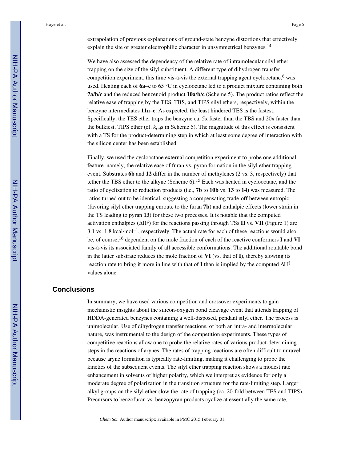extrapolation of previous explanations of ground-state benzyne distortions that effectively explain the site of greater electrophilic character in unsymmetrical benzynes.<sup>14</sup>

We have also assessed the dependency of the relative rate of intramolecular silyl ether trapping on the size of the silyl substituent. A different type of dihydrogen transfer competition experiment, this time vis-à-vis the external trapping agent cyclooctane,  $6$  was used. Heating each of **6a**–**c** to 65 °C in cyclooctane led to a product mixture containing both **7a**/**b**/**c** and the reduced benzenoid product **10a**/**b**/**c** (Scheme 5). The product ratios reflect the relative ease of trapping by the TES, TBS, and TIPS silyl ethers, respectively, within the benzyne intermediates **11a**–**c**. As expected, the least hindered TES is the fastest. Specifically, the TES ether traps the benzyne ca. 5x faster than the TBS and 20x faster than the bulkiest, TIPS ether (cf. *krel*s in Scheme 5). The magnitude of this effect is consistent with a TS for the product-determining step in which at least some degree of interaction with the silicon center has been established.

Finally, we used the cyclooctane external competition experiment to probe one additional feature–namely, the relative ease of furan vs. pyran formation in the silyl ether trapping event. Substrates **6b** and **12** differ in the number of methylenes (2 vs. 3, respectively) that tether the TBS ether to the alkyne (Scheme  $6$ ).<sup>15</sup> Each was heated in cyclooctane, and the ratio of cyclization to reduction products (i.e., **7b** to **10b** vs. **13** to **14**) was measured. The ratios turned out to be identical, suggesting a compensating trade-off between entropic (favoring silyl ether trapping enroute to the furan **7b**) and enthalpic effects (lower strain in the TS leading to pyran **13**) for these two processes. It is notable that the computed activation enthalpies (ΔH‡ ) for the reactions passing through TSs **II** vs. **VII** (Figure 1) are 3.1 vs. 1.8 kcal·mol−1, respectively. The actual rate for each of these reactions would also be, of course,16 dependent on the mole fraction of each of the reactive conformers **I** and **VI**  vis-à-vis its associated family of all accessible conformations. The additional rotatable bond in the latter substrate reduces the mole fraction of **VI** (vs. that of **I**), thereby slowing its reaction rate to bring it more in line with that of **I** than is implied by the computed ΔH‡ values alone.

#### **Conclusions**

In summary, we have used various competition and crossover experiments to gain mechanistic insights about the silicon-oxygen bond cleavage event that attends trapping of HDDA-generated benzynes containing a well-disposed, pendant silyl ether. The process is unimolecular. Use of dihydrogen transfer reactions, of both an intra- and intermolecular nature, was instrumental to the design of the competition experiments. These types of competitive reactions allow one to probe the relative rates of various product-determining steps in the reactions of arynes. The rates of trapping reactions are often difficult to unravel because aryne formation is typically rate-limiting, making it challenging to probe the kinetics of the subsequent events. The silyl ether trapping reaction shows a modest rate enhancement in solvents of higher polarity, which we interpret as evidence for only a moderate degree of polarization in the transition structure for the rate-limiting step. Larger alkyl groups on the silyl ether slow the rate of trapping (ca. 20-fold between TES and TIPS). Precursors to benzofuran vs. benzopyran products cyclize at essentially the same rate,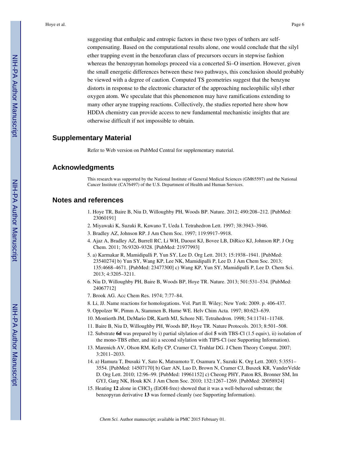suggesting that enthalpic and entropic factors in these two types of tethers are selfcompensating. Based on the computational results alone, one would conclude that the silyl ether trapping event in the benzofuran class of precursors occurs in stepwise fashion whereas the benzopyran homologs proceed via a concerted Si–O insertion. However, given the small energetic differences between these two pathways, this conclusion should probably be viewed with a degree of caution. Computed TS geometries suggest that the benzyne distorts in response to the electronic character of the approaching nucleophilic silyl ether oxygen atom. We speculate that this phenomenon may have ramifications extending to many other aryne trapping reactions. Collectively, the studies reported here show how HDDA chemistry can provide access to new fundamental mechanistic insights that are otherwise difficult if not impossible to obtain.

#### **Supplementary Material**

Refer to Web version on PubMed Central for supplementary material.

#### **Acknowledgments**

This research was supported by the National Institute of General Medical Sciences (GM65597) and the National Cancer Institute (CA76497) of the U.S. Department of Health and Human Services.

#### **Notes and references**

- 1. Hoye TR, Baire B, Niu D, Willoughby PH, Woods BP. Nature. 2012; 490:208–212. [PubMed: 23060191]
- 2. Miyawaki K, Suzuki R, Kawano T, Ueda I. Tetrahedron Lett. 1997; 38:3943–3946.
- 3. Bradley AZ, Johnson RP. J Am Chem Soc. 1997; 119:9917–9918.
- 4. Ajaz A, Bradley AZ, Burrell RC, Li WH, Daoust KJ, Bovee LB, DiRico KJ, Johnson RP. J Org Chem. 2011; 76:9320–9328. [PubMed: 21977993]
- 5. a) Karmakar R, Mamidipalli P, Yun SY, Lee D. Org Lett. 2013; 15:1938–1941. [PubMed: 23540274] b) Yun SY, Wang KP, Lee NK, Mamidipalli P, Lee D. J Am Chem Soc. 2013; 135:4668–4671. [PubMed: 23477300] c) Wang KP, Yun SY, Mamidipalli P, Lee D. Chem Sci. 2013; 4:3205–3211.
- 6. Niu D, Willoughby PH, Baire B, Woods BP, Hoye TR. Nature. 2013; 501:531–534. [PubMed: 24067712]
- 7. Brook AG. Acc Chem Res. 1974; 7:77–84.
- 8. Li, JJ. Name reactions for homologations. Vol. Part II. Wiley; New York: 2009. p. 406-437.
- 9. Oppolzer W, Pimm A, Stammen B, Hume WE. Helv Chim Acta. 1997; 80:623–639.
- 10. Montierth JM, DeMario DR, Kurth MJ, Schore NE. Tetrahedron. 1998; 54:11741–11748.
- 11. Baire B, Niu D, Willoughby PH, Woods BP, Hoye TR. Nature Protocols. 2013; 8:501–508.
- 12. Substrate **6d** was prepared by i) partial silylation of diol **5** with TBS-Cl (1.5 equiv), ii) isolation of the mono-TBS ether, and iii) a second silylation with TIPS-Cl (see Supporting Information).
- 13. Marenich AV, Olson RM, Kelly CP, Cramer CJ, Truhlar DG. J Chem Theory Comput. 2007; 3:2011–2033.
- 14. a) Hamura T, Ibusuki Y, Sato K, Matsumoto T, Osamura Y, Suzuki K. Org Lett. 2003; 5:3551– 3554. [PubMed: 14507170] b) Garr AN, Luo D, Brown N, Cramer CJ, Buszek KR, VanderVelde D. Org Lett. 2010; 12:96–99. [PubMed: 19961152] c) Cheong PHY, Paton RS, Bronner SM, Im GYJ, Garg NK, Houk KN. J Am Chem Soc. 2010; 132:1267–1269. [PubMed: 20058924]
- 15. Heating **12** alone in CHCl3 (EtOH-free) showed that it was a well-behaved substrate; the benzopyran derivative **13** was formed cleanly (see Supporting Information).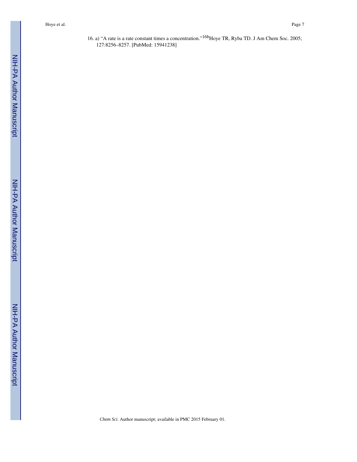16. a) "A rate is a rate constant times a concentration."<sup>16b</sup>Hoye TR, Ryba TD. J Am Chem Soc. 2005; 127:8256–8257. [PubMed: 15941238]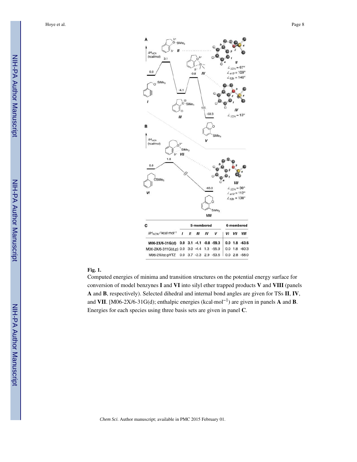

#### **Fig. 1.**

Computed energies of minima and transition structures on the potential energy surface for conversion of model benzynes **I** and **VI** into silyl ether trapped products **V** and **VIII** (panels **A** and **B**, respectively). Selected dihedral and internal bond angles are given for TSs **II**, **IV**, and **VII**. [M06-2X/6-31G(d); enthalpic energies (kcal·mol−1) are given in panels **A** and **B**. Energies for each species using three basis sets are given in panel **C**.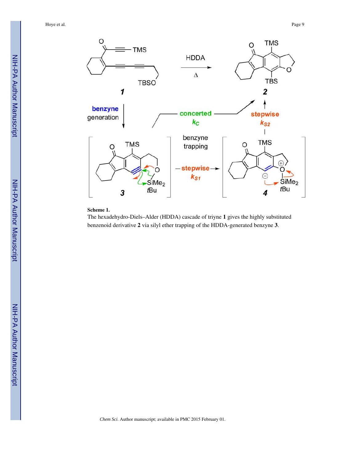

#### **Scheme 1.**

The hexadehydro-Diels–Alder (HDDA) cascade of triyne **1** gives the highly substituted benzenoid derivative **2** via silyl ether trapping of the HDDA-generated benzyne **3**.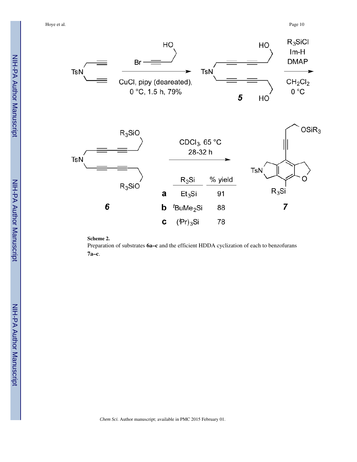

**Scheme 2.** 

Preparation of substrates **6a–c** and the efficient HDDA cyclization of each to benzofurans **7a–c**.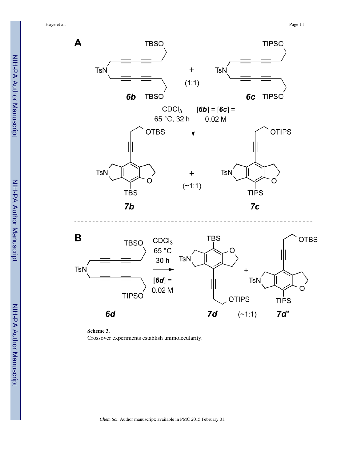



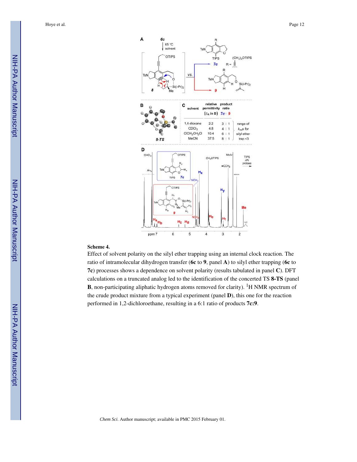

#### **Scheme 4.**

Effect of solvent polarity on the silyl ether trapping using an internal clock reaction. The ratio of intramolecular dihydrogen transfer (**6c** to **9**, panel **A**) to silyl ether trapping (**6c** to **7c**) processes shows a dependence on solvent polarity (results tabulated in panel **C**). DFT calculations on a truncated analog led to the identification of the concerted TS **8-TS** (panel **B**, non-participating aliphatic hydrogen atoms removed for clarity). <sup>1</sup>H NMR spectrum of the crude product mixture from a typical experiment (panel **D**), this one for the reaction performed in 1,2-dichloroethane, resulting in a 6:1 ratio of products **7c:9**.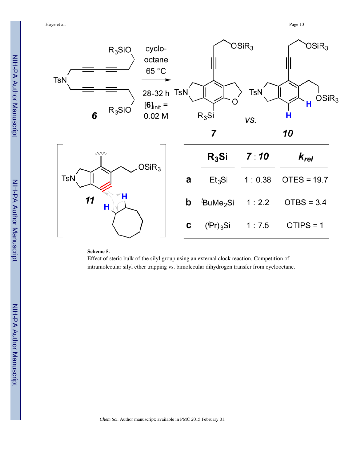

#### **Scheme 5.**

Effect of steric bulk of the silyl group using an external clock reaction. Competition of intramolecular silyl ether trapping vs. bimolecular dihydrogen transfer from cyclooctane.